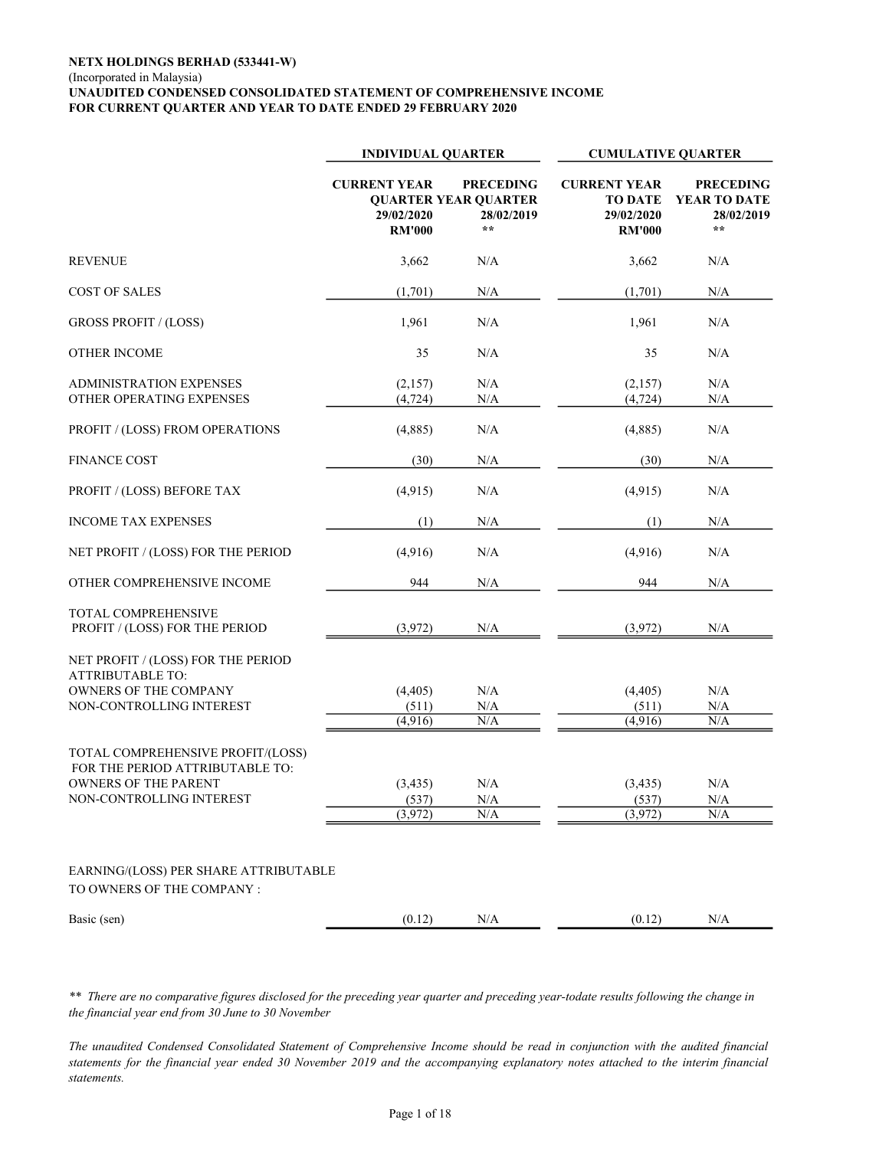#### NETX HOLDINGS BERHAD (533441-W) (Incorporated in Malaysia) UNAUDITED CONDENSED CONSOLIDATED STATEMENT OF COMPREHENSIVE INCOME FOR CURRENT QUARTER AND YEAR TO DATE ENDED 29 FEBRUARY 2020

|                                                                                                                                 | <b>INDIVIDUAL QUARTER</b>                          |                                                                               | <b>CUMULATIVE QUARTER</b>                                            |                                                      |  |  |
|---------------------------------------------------------------------------------------------------------------------------------|----------------------------------------------------|-------------------------------------------------------------------------------|----------------------------------------------------------------------|------------------------------------------------------|--|--|
|                                                                                                                                 | <b>CURRENT YEAR</b><br>29/02/2020<br><b>RM'000</b> | <b>PRECEDING</b><br><b>OUARTER YEAR OUARTER</b><br>28/02/2019<br>$\star\star$ | <b>CURRENT YEAR</b><br><b>TO DATE</b><br>29/02/2020<br><b>RM'000</b> | <b>PRECEDING</b><br>YEAR TO DATE<br>28/02/2019<br>** |  |  |
| <b>REVENUE</b>                                                                                                                  | 3,662                                              | N/A                                                                           | 3,662                                                                | N/A                                                  |  |  |
| <b>COST OF SALES</b>                                                                                                            | (1,701)                                            | N/A                                                                           | (1,701)                                                              | N/A                                                  |  |  |
| <b>GROSS PROFIT / (LOSS)</b>                                                                                                    | 1,961                                              | N/A                                                                           | 1,961                                                                | N/A                                                  |  |  |
| <b>OTHER INCOME</b>                                                                                                             | 35                                                 | N/A                                                                           | 35                                                                   | N/A                                                  |  |  |
| <b>ADMINISTRATION EXPENSES</b><br>OTHER OPERATING EXPENSES                                                                      | (2,157)<br>(4, 724)                                | N/A<br>N/A                                                                    | (2,157)<br>(4, 724)                                                  | N/A<br>N/A                                           |  |  |
| PROFIT / (LOSS) FROM OPERATIONS                                                                                                 | (4,885)                                            | N/A                                                                           | (4,885)                                                              | N/A                                                  |  |  |
| <b>FINANCE COST</b>                                                                                                             | (30)                                               | N/A                                                                           | (30)                                                                 | N/A                                                  |  |  |
| PROFIT / (LOSS) BEFORE TAX                                                                                                      | (4,915)                                            | N/A                                                                           | (4,915)                                                              | N/A                                                  |  |  |
| <b>INCOME TAX EXPENSES</b>                                                                                                      | (1)                                                | N/A                                                                           | (1)                                                                  | N/A                                                  |  |  |
| NET PROFIT / (LOSS) FOR THE PERIOD                                                                                              | (4,916)                                            | N/A                                                                           | (4,916)                                                              | N/A                                                  |  |  |
| OTHER COMPREHENSIVE INCOME                                                                                                      | 944                                                | N/A                                                                           | 944                                                                  | N/A                                                  |  |  |
| TOTAL COMPREHENSIVE<br>PROFIT / (LOSS) FOR THE PERIOD                                                                           | (3,972)                                            | $\rm N/A$                                                                     | (3,972)                                                              | N/A                                                  |  |  |
| NET PROFIT / (LOSS) FOR THE PERIOD<br><b>ATTRIBUTABLE TO:</b><br>OWNERS OF THE COMPANY<br>NON-CONTROLLING INTEREST              | (4, 405)<br>(511)                                  | N/A<br>$\rm N/A$                                                              | (4, 405)<br>(511)                                                    | N/A<br>$\rm N/A$                                     |  |  |
| TOTAL COMPREHENSIVE PROFIT/(LOSS)<br>FOR THE PERIOD ATTRIBUTABLE TO:<br><b>OWNERS OF THE PARENT</b><br>NON-CONTROLLING INTEREST | (4,916)<br>(3, 435)<br>(537)<br>(3,972)            | N/A<br>N/A<br>$\rm N/A$<br>N/A                                                | (4,916)<br>(3,435)<br>(537)<br>(3,972)                               | N/A<br>N/A<br>$\rm N/A$<br>N/A                       |  |  |
| EARNING/(LOSS) PER SHARE ATTRIBUTABLE<br>TO OWNERS OF THE COMPANY :                                                             |                                                    |                                                                               |                                                                      |                                                      |  |  |
| Basic (sen)                                                                                                                     | (0.12)                                             | $\rm N/A$                                                                     | (0.12)                                                               | N/A                                                  |  |  |

\*\* There are no comparative figures disclosed for the preceding year quarter and preceding year-todate results following the change in the financial year end from 30 June to 30 November

The unaudited Condensed Consolidated Statement of Comprehensive Income should be read in conjunction with the audited financial statements for the financial year ended 30 November 2019 and the accompanying explanatory notes attached to the interim financial statements.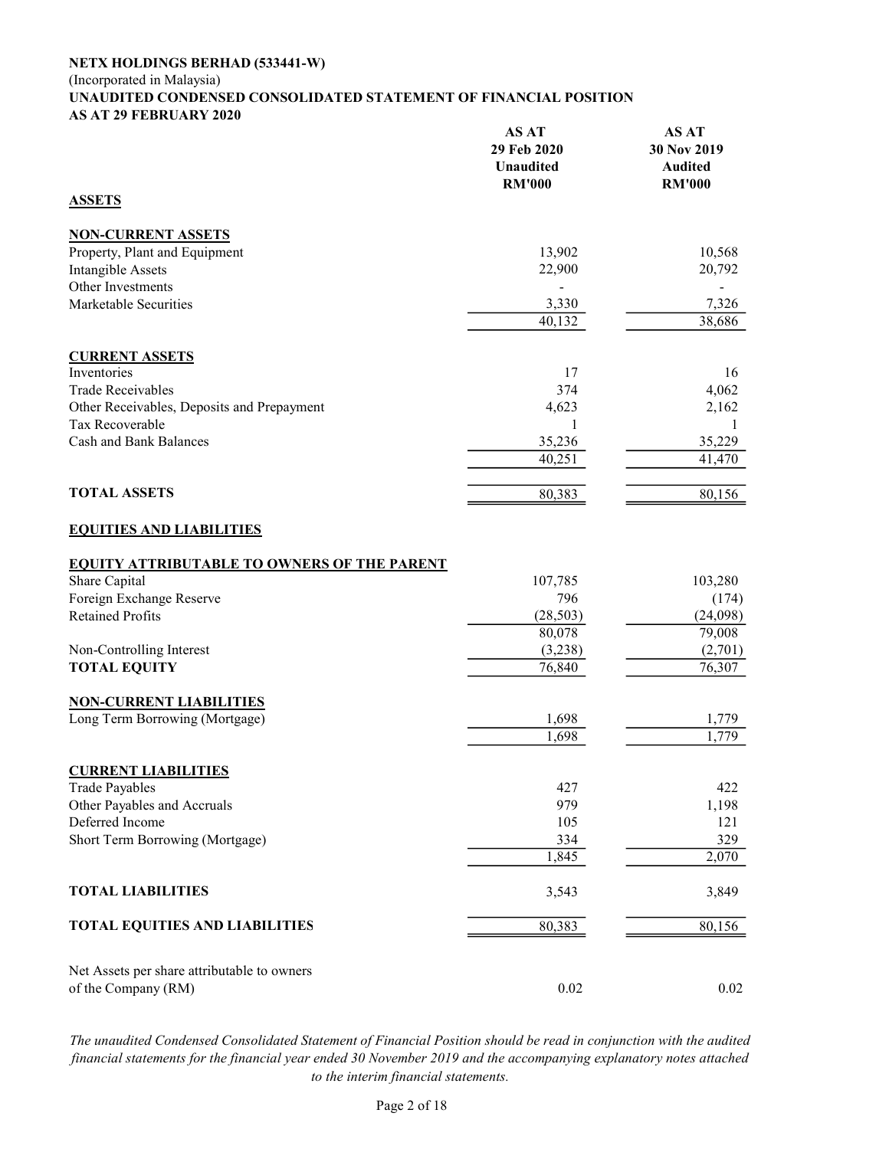#### (Incorporated in Malaysia)

#### UNAUDITED CONDENSED CONSOLIDATED STATEMENT OF FINANCIAL POSITION AS AT 29 FEBRUARY 2020 AS AT AS AT

|                                                    | AS A I<br>29 Feb 2020<br><b>Unaudited</b><br><b>RM'000</b> | AS A 1<br>30 Nov 2019<br><b>Audited</b><br><b>RM'000</b> |
|----------------------------------------------------|------------------------------------------------------------|----------------------------------------------------------|
| <b>ASSETS</b>                                      |                                                            |                                                          |
| <b>NON-CURRENT ASSETS</b>                          |                                                            |                                                          |
| Property, Plant and Equipment                      | 13,902                                                     | 10,568                                                   |
| <b>Intangible Assets</b>                           | 22,900                                                     | 20,792                                                   |
| Other Investments                                  |                                                            |                                                          |
| Marketable Securities                              | 3,330                                                      | 7,326                                                    |
|                                                    | 40,132                                                     | 38,686                                                   |
| <b>CURRENT ASSETS</b>                              |                                                            |                                                          |
| Inventories                                        | 17                                                         | 16                                                       |
| <b>Trade Receivables</b>                           | 374                                                        | 4,062                                                    |
| Other Receivables, Deposits and Prepayment         | 4,623                                                      | 2,162                                                    |
| Tax Recoverable                                    | 1                                                          | 1                                                        |
| <b>Cash and Bank Balances</b>                      | 35,236                                                     | 35,229                                                   |
|                                                    | 40,251                                                     | 41,470                                                   |
| <b>TOTAL ASSETS</b>                                | 80,383                                                     | 80,156                                                   |
| <b>EQUITIES AND LIABILITIES</b>                    |                                                            |                                                          |
| <b>EQUITY ATTRIBUTABLE TO OWNERS OF THE PARENT</b> |                                                            |                                                          |
| Share Capital                                      | 107,785                                                    | 103,280                                                  |
| Foreign Exchange Reserve                           | 796                                                        | (174)                                                    |
| <b>Retained Profits</b>                            | (28, 503)                                                  | (24,098)                                                 |
|                                                    | 80,078                                                     | 79,008                                                   |
| Non-Controlling Interest                           | (3,238)                                                    | (2,701)                                                  |
| <b>TOTAL EQUITY</b>                                | 76,840                                                     | 76,307                                                   |
| <b>NON-CURRENT LIABILITIES</b>                     |                                                            |                                                          |
| Long Term Borrowing (Mortgage)                     | 1,698                                                      | 1,779                                                    |
|                                                    | 1,698                                                      | 1,779                                                    |
| <b>CURRENT LIABILITIES</b>                         |                                                            |                                                          |
| <b>Trade Payables</b>                              | 427                                                        | 422                                                      |
| Other Payables and Accruals                        | 979                                                        | 1,198                                                    |
| Deferred Income                                    | 105                                                        | 121                                                      |
| Short Term Borrowing (Mortgage)                    | 334                                                        | 329                                                      |
|                                                    | 1,845                                                      | 2,070                                                    |
| <b>TOTAL LIABILITIES</b>                           | 3,543                                                      | 3,849                                                    |
| <b>TOTAL EQUITIES AND LIABILITIES</b>              | 80,383                                                     | 80,156                                                   |
| Net Assets per share attributable to owners        |                                                            |                                                          |
| of the Company (RM)                                | 0.02                                                       | 0.02                                                     |

The unaudited Condensed Consolidated Statement of Financial Position should be read in conjunction with the audited financial statements for the financial year ended 30 November 2019 and the accompanying explanatory notes attached to the interim financial statements.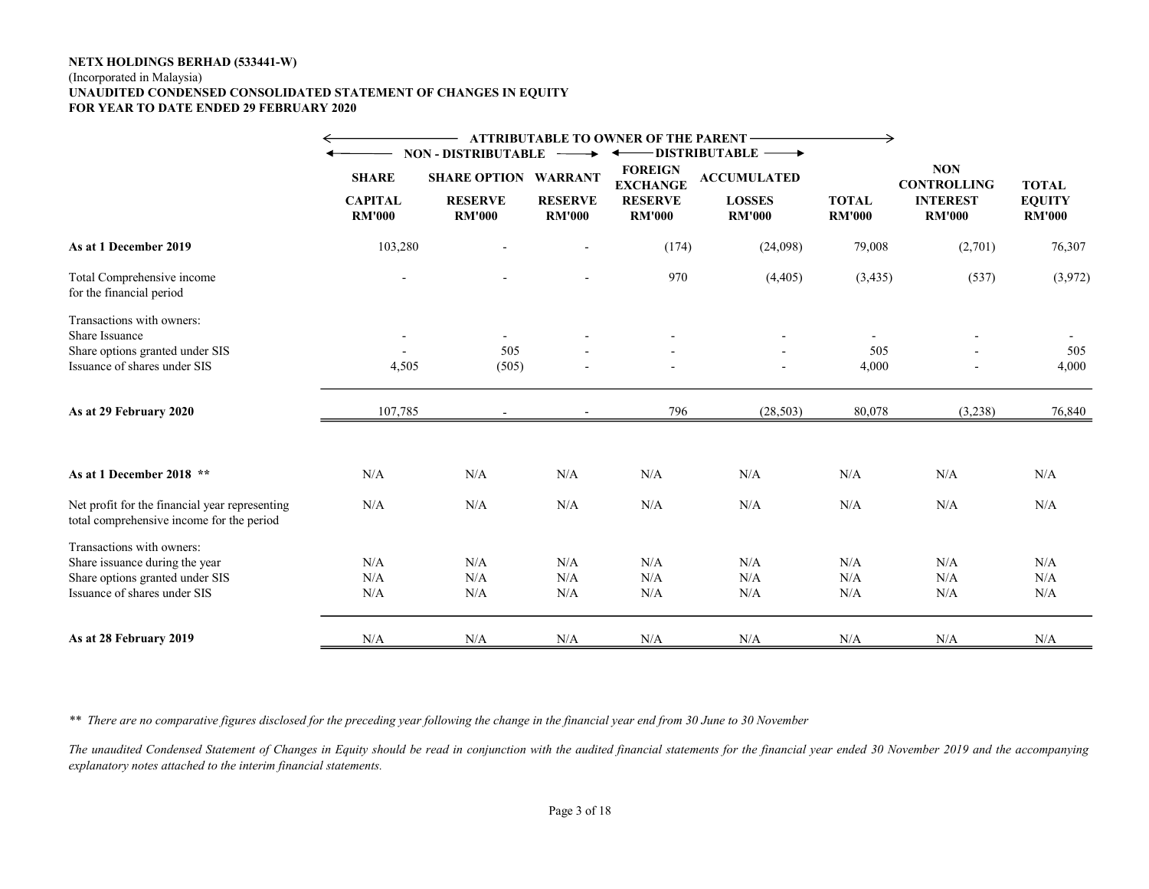#### (Incorporated in Malaysia) UNAUDITED CONDENSED CONSOLIDATED STATEMENT OF CHANGES IN EQUITY FOR YEAR TO DATE ENDED 29 FEBRUARY 2020

|                                                                                             |                                 |                                 |                                 | <b>ATTRIBUTABLE TO OWNER OF THE PARENT -</b>            |                                |                               |                                  |                                |
|---------------------------------------------------------------------------------------------|---------------------------------|---------------------------------|---------------------------------|---------------------------------------------------------|--------------------------------|-------------------------------|----------------------------------|--------------------------------|
|                                                                                             |                                 | <b>NON - DISTRIBUTABLE</b>      |                                 |                                                         | DISTRIBUTABLE -                |                               |                                  |                                |
|                                                                                             | <b>SHARE</b>                    | <b>SHARE OPTION WARRANT</b>     |                                 | <b>FOREIGN</b><br><b>ACCUMULATED</b><br><b>EXCHANGE</b> |                                |                               | <b>NON</b><br><b>CONTROLLING</b> | <b>TOTAL</b>                   |
|                                                                                             | <b>CAPITAL</b><br><b>RM'000</b> | <b>RESERVE</b><br><b>RM'000</b> | <b>RESERVE</b><br><b>RM'000</b> | <b>RESERVE</b><br><b>RM'000</b>                         | <b>LOSSES</b><br><b>RM'000</b> | <b>TOTAL</b><br><b>RM'000</b> | <b>INTEREST</b><br><b>RM'000</b> | <b>EQUITY</b><br><b>RM'000</b> |
| As at 1 December 2019                                                                       | 103,280                         |                                 |                                 | (174)                                                   | (24,098)                       | 79,008                        | (2,701)                          | 76,307                         |
| Total Comprehensive income<br>for the financial period                                      |                                 |                                 |                                 | 970                                                     | (4,405)                        | (3,435)                       | (537)                            | (3,972)                        |
| Transactions with owners:                                                                   |                                 |                                 |                                 |                                                         |                                |                               |                                  |                                |
| Share Issuance                                                                              |                                 | $\overline{\phantom{0}}$        |                                 |                                                         |                                |                               |                                  |                                |
| Share options granted under SIS                                                             |                                 | 505                             |                                 |                                                         |                                | 505                           |                                  | 505                            |
| Issuance of shares under SIS                                                                | 4,505                           | (505)                           |                                 |                                                         |                                | 4,000                         |                                  | 4,000                          |
| As at 29 February 2020                                                                      | 107,785                         |                                 |                                 | 796                                                     | (28, 503)                      | 80,078                        | (3,238)                          | 76,840                         |
| As at 1 December 2018 **                                                                    | N/A                             | N/A                             | N/A                             | N/A                                                     | N/A                            | N/A                           | N/A                              | N/A                            |
| Net profit for the financial year representing<br>total comprehensive income for the period | N/A                             | N/A                             | N/A                             | N/A                                                     | N/A                            | N/A                           | N/A                              | N/A                            |
| Transactions with owners:                                                                   |                                 |                                 |                                 |                                                         |                                |                               |                                  |                                |
| Share issuance during the year                                                              | N/A                             | N/A                             | N/A                             | N/A                                                     | N/A                            | N/A                           | N/A                              | N/A                            |
| Share options granted under SIS                                                             | N/A                             | N/A                             | N/A                             | N/A                                                     | N/A                            | N/A                           | $\rm N/A$                        | N/A                            |
| Issuance of shares under SIS                                                                | N/A                             | N/A                             | N/A                             | N/A                                                     | N/A                            | N/A                           | $\rm N/A$                        | N/A                            |
| As at 28 February 2019                                                                      | N/A                             | N/A                             | N/A                             | N/A                                                     | N/A                            | N/A                           | N/A                              | N/A                            |

\*\* There are no comparative figures disclosed for the preceding year following the change in the financial year end from 30 June to 30 November

The unaudited Condensed Statement of Changes in Equity should be read in conjunction with the audited financial statements for the financial year ended 30 November 2019 and the accompanying explanatory notes attached to the interim financial statements.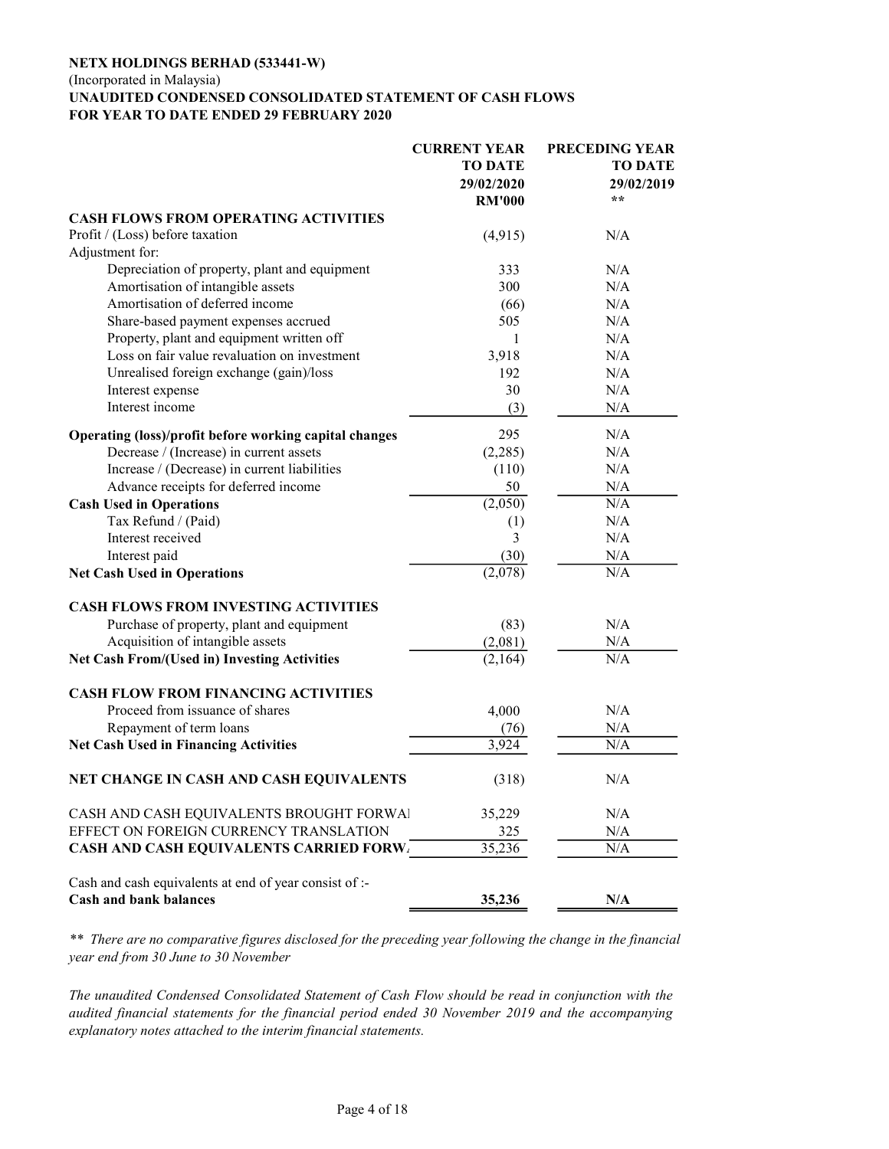### (Incorporated in Malaysia)

#### UNAUDITED CONDENSED CONSOLIDATED STATEMENT OF CASH FLOWS FOR YEAR TO DATE ENDED 29 FEBRUARY 2020

|                                                                                         | <b>CURRENT YEAR</b> | PRECEDING YEAR |
|-----------------------------------------------------------------------------------------|---------------------|----------------|
|                                                                                         | <b>TO DATE</b>      | <b>TO DATE</b> |
|                                                                                         | 29/02/2020          | 29/02/2019     |
|                                                                                         | <b>RM'000</b>       | **             |
| <b>CASH FLOWS FROM OPERATING ACTIVITIES</b>                                             |                     |                |
| Profit / (Loss) before taxation                                                         | (4,915)             | N/A            |
| Adjustment for:                                                                         |                     |                |
| Depreciation of property, plant and equipment                                           | 333                 | N/A            |
| Amortisation of intangible assets                                                       | 300                 | N/A            |
| Amortisation of deferred income                                                         | (66)                | N/A            |
| Share-based payment expenses accrued                                                    | 505                 | N/A            |
| Property, plant and equipment written off                                               | 1                   | N/A            |
| Loss on fair value revaluation on investment                                            | 3,918               | N/A            |
| Unrealised foreign exchange (gain)/loss                                                 | 192                 | N/A            |
| Interest expense                                                                        | 30                  | N/A            |
| Interest income                                                                         | (3)                 | N/A            |
|                                                                                         |                     |                |
| Operating (loss)/profit before working capital changes                                  | 295                 | N/A            |
| Decrease / (Increase) in current assets                                                 | (2,285)             | N/A            |
| Increase / (Decrease) in current liabilities                                            | (110)               | N/A            |
| Advance receipts for deferred income                                                    | 50                  | N/A            |
| <b>Cash Used in Operations</b>                                                          | (2,050)             | N/A            |
| Tax Refund / (Paid)                                                                     | (1)                 | N/A            |
| Interest received                                                                       | 3                   | N/A            |
| Interest paid                                                                           | (30)                | N/A            |
| <b>Net Cash Used in Operations</b>                                                      | (2,078)             | N/A            |
| <b>CASH FLOWS FROM INVESTING ACTIVITIES</b>                                             |                     |                |
| Purchase of property, plant and equipment                                               | (83)                | N/A            |
| Acquisition of intangible assets                                                        | (2,081)             | N/A            |
| <b>Net Cash From/(Used in) Investing Activities</b>                                     | (2,164)             | N/A            |
| <b>CASH FLOW FROM FINANCING ACTIVITIES</b>                                              |                     |                |
| Proceed from issuance of shares                                                         | 4,000               | N/A            |
| Repayment of term loans                                                                 | (76)                | N/A            |
| <b>Net Cash Used in Financing Activities</b>                                            | 3,924               | N/A            |
| NET CHANGE IN CASH AND CASH EQUIVALENTS                                                 | (318)               | N/A            |
| CASH AND CASH EQUIVALENTS BROUGHT FORWAL                                                | 35,229              | N/A            |
| EFFECT ON FOREIGN CURRENCY TRANSLATION                                                  | 325                 | N/A            |
| <b>CASH AND CASH EQUIVALENTS CARRIED FORW.</b>                                          | 35,236              | N/A            |
| Cash and cash equivalents at end of year consist of :-<br><b>Cash and bank balances</b> | 35,236              | N/A            |

\*\* There are no comparative figures disclosed for the preceding year following the change in the financial year end from 30 June to 30 November

The unaudited Condensed Consolidated Statement of Cash Flow should be read in conjunction with the audited financial statements for the financial period ended 30 November 2019 and the accompanying explanatory notes attached to the interim financial statements.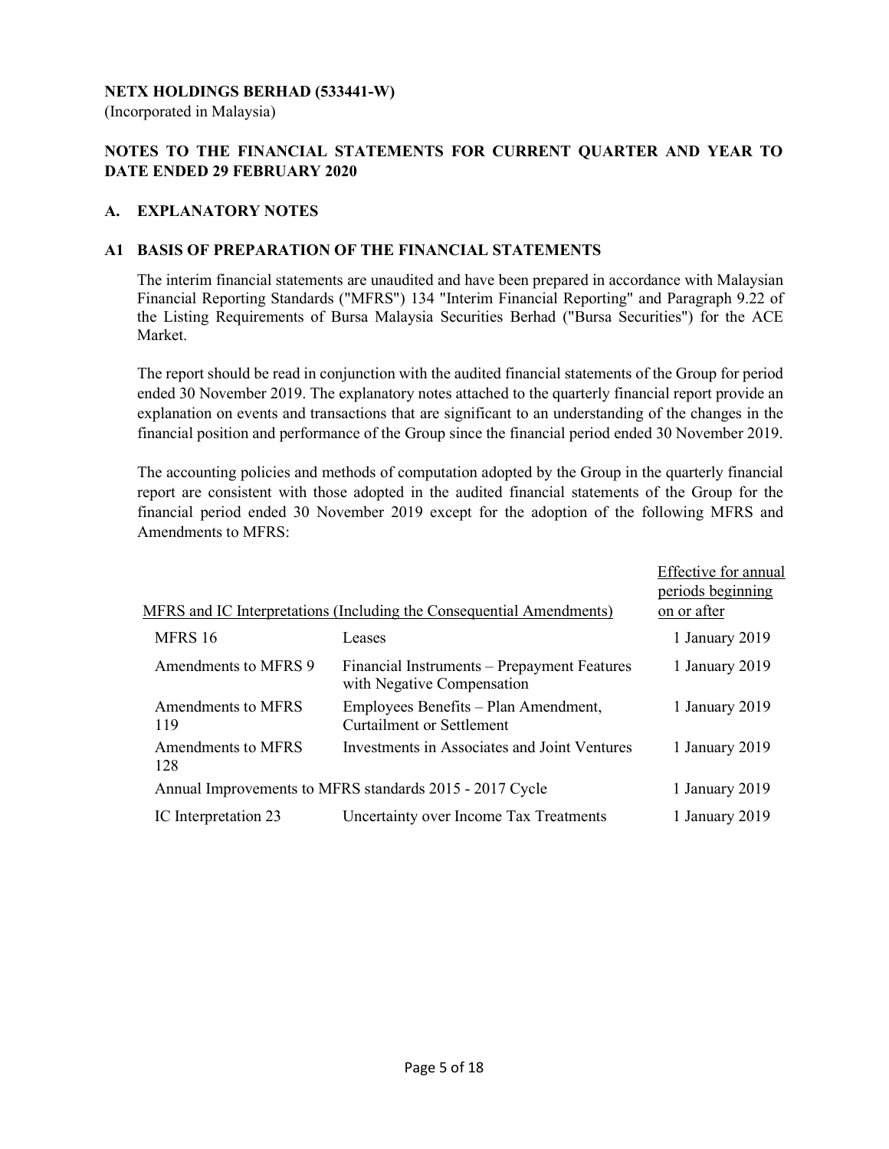(Incorporated in Malaysia)

# NOTES TO THE FINANCIAL STATEMENTS FOR CURRENT QUARTER AND YEAR TO DATE ENDED 29 FEBRUARY 2020

### A. EXPLANATORY NOTES

### A1 BASIS OF PREPARATION OF THE FINANCIAL STATEMENTS

 The interim financial statements are unaudited and have been prepared in accordance with Malaysian Financial Reporting Standards ("MFRS") 134 "Interim Financial Reporting" and Paragraph 9.22 of the Listing Requirements of Bursa Malaysia Securities Berhad ("Bursa Securities") for the ACE Market.

 The report should be read in conjunction with the audited financial statements of the Group for period ended 30 November 2019. The explanatory notes attached to the quarterly financial report provide an explanation on events and transactions that are significant to an understanding of the changes in the financial position and performance of the Group since the financial period ended 30 November 2019.

 The accounting policies and methods of computation adopted by the Group in the quarterly financial report are consistent with those adopted in the audited financial statements of the Group for the financial period ended 30 November 2019 except for the adoption of the following MFRS and Amendments to MFRS:

|                           |                                                                           | Effective for annual |
|---------------------------|---------------------------------------------------------------------------|----------------------|
|                           |                                                                           | periods beginning    |
|                           | MFRS and IC Interpretations (Including the Consequential Amendments)      | on or after          |
| MFRS 16                   | Leases                                                                    | 1 January 2019       |
| Amendments to MFRS 9      | Financial Instruments – Prepayment Features<br>with Negative Compensation | 1 January 2019       |
| Amendments to MFRS<br>119 | Employees Benefits - Plan Amendment,<br><b>Curtailment or Settlement</b>  | 1 January 2019       |
| Amendments to MFRS<br>128 | Investments in Associates and Joint Ventures                              | 1 January 2019       |
|                           | Annual Improvements to MFRS standards 2015 - 2017 Cycle                   | 1 January 2019       |
| IC Interpretation 23      | Uncertainty over Income Tax Treatments                                    | 1 January 2019       |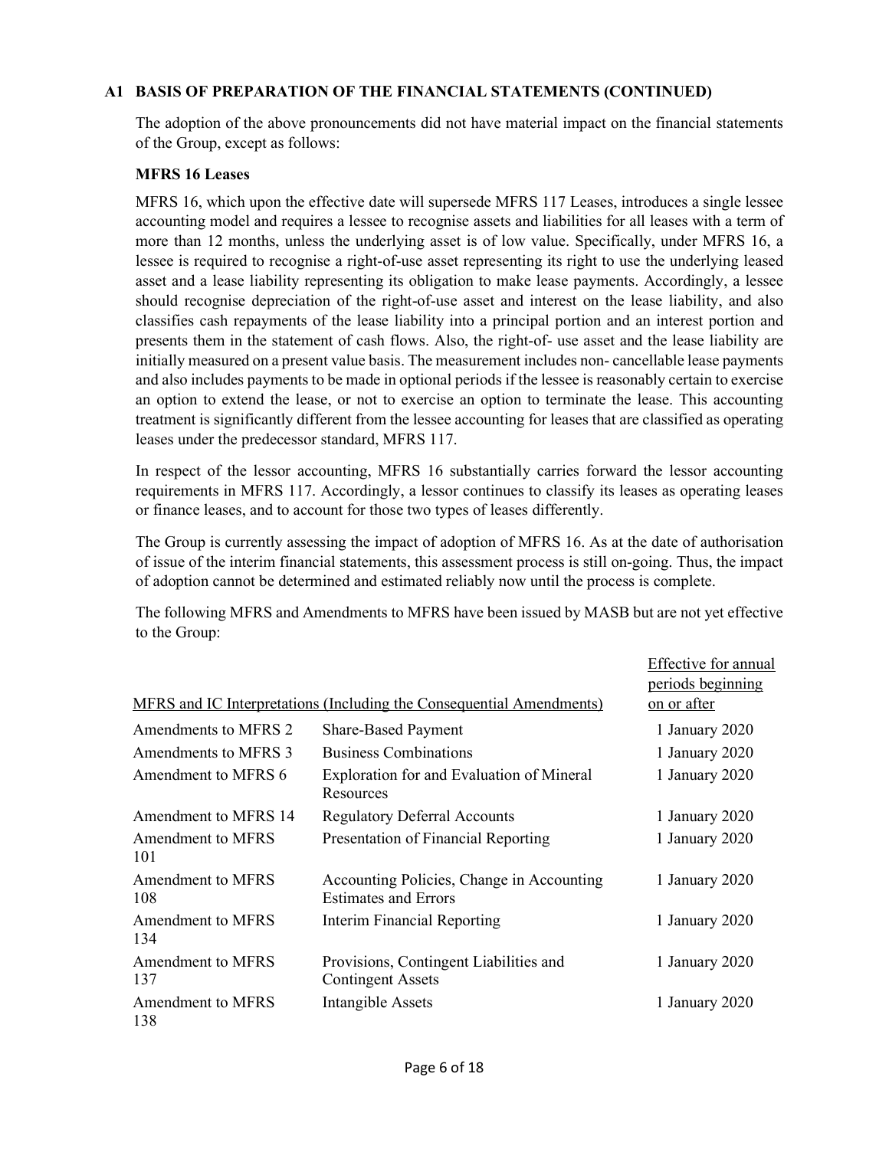### A1 BASIS OF PREPARATION OF THE FINANCIAL STATEMENTS (CONTINUED)

The adoption of the above pronouncements did not have material impact on the financial statements of the Group, except as follows:

#### MFRS 16 Leases

MFRS 16, which upon the effective date will supersede MFRS 117 Leases, introduces a single lessee accounting model and requires a lessee to recognise assets and liabilities for all leases with a term of more than 12 months, unless the underlying asset is of low value. Specifically, under MFRS 16, a lessee is required to recognise a right-of-use asset representing its right to use the underlying leased asset and a lease liability representing its obligation to make lease payments. Accordingly, a lessee should recognise depreciation of the right-of-use asset and interest on the lease liability, and also classifies cash repayments of the lease liability into a principal portion and an interest portion and presents them in the statement of cash flows. Also, the right-of- use asset and the lease liability are initially measured on a present value basis. The measurement includes non- cancellable lease payments and also includes payments to be made in optional periods if the lessee is reasonably certain to exercise an option to extend the lease, or not to exercise an option to terminate the lease. This accounting treatment is significantly different from the lessee accounting for leases that are classified as operating leases under the predecessor standard, MFRS 117.

In respect of the lessor accounting, MFRS 16 substantially carries forward the lessor accounting requirements in MFRS 117. Accordingly, a lessor continues to classify its leases as operating leases or finance leases, and to account for those two types of leases differently.

The Group is currently assessing the impact of adoption of MFRS 16. As at the date of authorisation of issue of the interim financial statements, this assessment process is still on-going. Thus, the impact of adoption cannot be determined and estimated reliably now until the process is complete.

The following MFRS and Amendments to MFRS have been issued by MASB but are not yet effective to the Group:

|                                 |                                                                          | Effective for annual |
|---------------------------------|--------------------------------------------------------------------------|----------------------|
|                                 |                                                                          | periods beginning    |
|                                 | MFRS and IC Interpretations (Including the Consequential Amendments)     | on or after          |
| Amendments to MFRS 2            | <b>Share-Based Payment</b>                                               | 1 January 2020       |
| Amendments to MFRS 3            | <b>Business Combinations</b>                                             | 1 January 2020       |
| Amendment to MFRS 6             | Exploration for and Evaluation of Mineral<br>Resources                   | 1 January 2020       |
| Amendment to MFRS 14            | <b>Regulatory Deferral Accounts</b>                                      | 1 January 2020       |
| Amendment to MFRS<br>101        | Presentation of Financial Reporting                                      | 1 January 2020       |
| Amendment to MFRS<br>108        | Accounting Policies, Change in Accounting<br><b>Estimates and Errors</b> | 1 January 2020       |
| <b>Amendment to MFRS</b><br>134 | <b>Interim Financial Reporting</b>                                       | 1 January 2020       |
| <b>Amendment to MFRS</b><br>137 | Provisions, Contingent Liabilities and<br><b>Contingent Assets</b>       | 1 January 2020       |
| <b>Amendment to MFRS</b><br>138 | <b>Intangible Assets</b>                                                 | 1 January 2020       |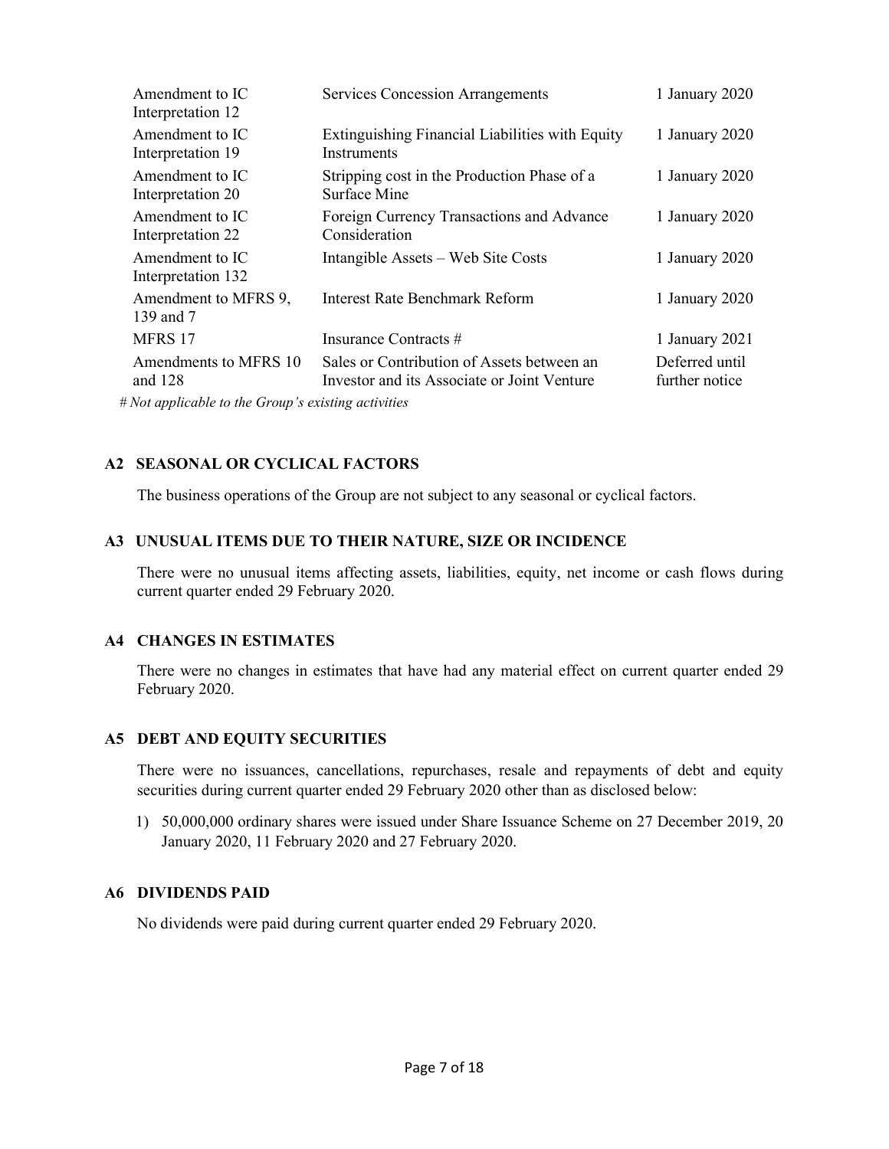| Amendment to IC<br>Interpretation 12                                                                             | <b>Services Concession Arrangements</b>                                                   | 1 January 2020                   |
|------------------------------------------------------------------------------------------------------------------|-------------------------------------------------------------------------------------------|----------------------------------|
| Amendment to IC<br>Interpretation 19                                                                             | Extinguishing Financial Liabilities with Equity<br>Instruments                            | 1 January 2020                   |
| Amendment to IC<br>Interpretation 20                                                                             | Stripping cost in the Production Phase of a<br>Surface Mine                               | 1 January 2020                   |
| Amendment to IC<br>Interpretation 22                                                                             | Foreign Currency Transactions and Advance<br>Consideration                                | 1 January 2020                   |
| Amendment to IC<br>Interpretation 132                                                                            | Intangible Assets – Web Site Costs                                                        | 1 January 2020                   |
| Amendment to MFRS 9,<br>139 and 7                                                                                | Interest Rate Benchmark Reform                                                            | 1 January 2020                   |
| MFRS 17                                                                                                          | Insurance Contracts #                                                                     | 1 January 2021                   |
| Amendments to MFRS 10<br>and $128$                                                                               | Sales or Contribution of Assets between an<br>Investor and its Associate or Joint Venture | Deferred until<br>further notice |
| $M_{11}$ and $L_{12}$ and $L_{13}$ and $L_{14}$ and $L_{15}$ and $L_{16}$ and $L_{17}$ and $L_{18}$ and $L_{19}$ |                                                                                           |                                  |

# Not applicable to the Group's existing activities

# A2 SEASONAL OR CYCLICAL FACTORS

The business operations of the Group are not subject to any seasonal or cyclical factors.

### A3 UNUSUAL ITEMS DUE TO THEIR NATURE, SIZE OR INCIDENCE

 There were no unusual items affecting assets, liabilities, equity, net income or cash flows during current quarter ended 29 February 2020.

## A4 CHANGES IN ESTIMATES

 There were no changes in estimates that have had any material effect on current quarter ended 29 February 2020.

## A5 DEBT AND EQUITY SECURITIES

 There were no issuances, cancellations, repurchases, resale and repayments of debt and equity securities during current quarter ended 29 February 2020 other than as disclosed below:

1) 50,000,000 ordinary shares were issued under Share Issuance Scheme on 27 December 2019, 20 January 2020, 11 February 2020 and 27 February 2020.

### A6 DIVIDENDS PAID

No dividends were paid during current quarter ended 29 February 2020.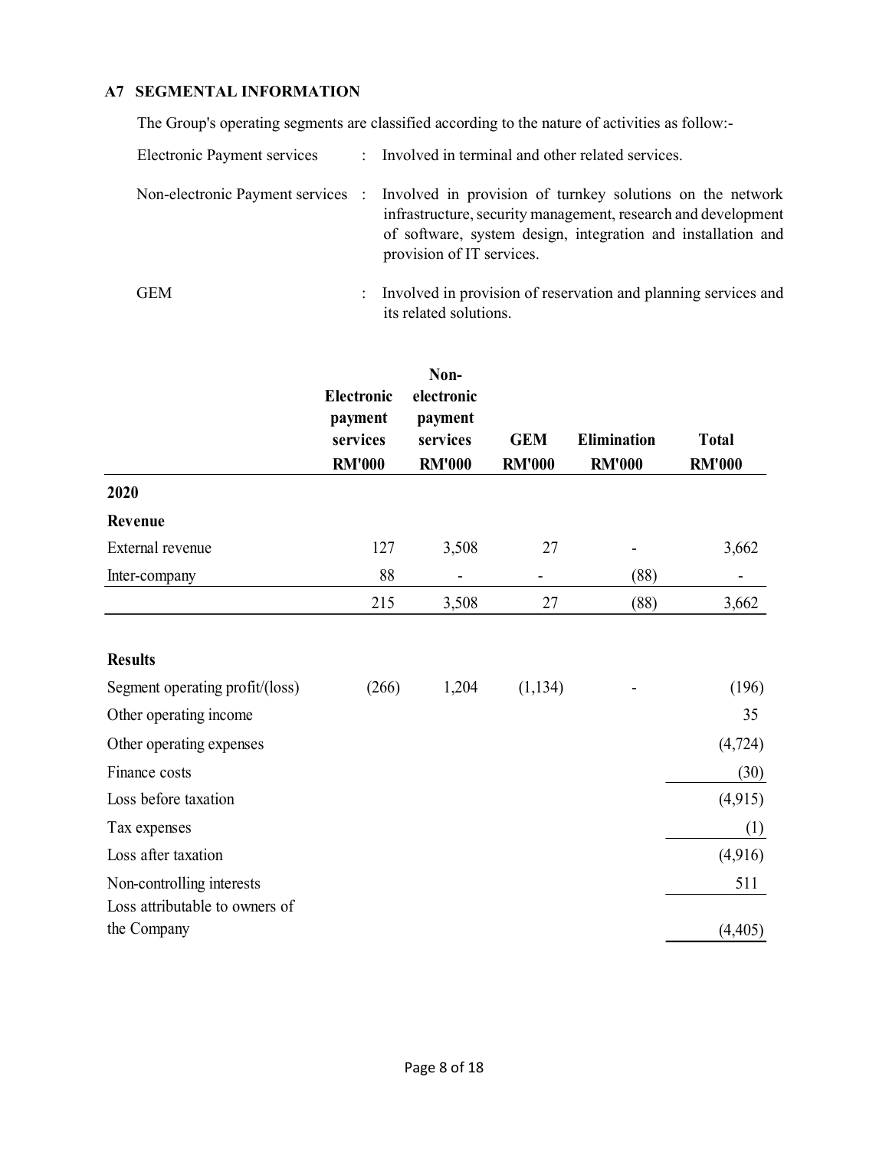# A7 SEGMENTAL INFORMATION

The Group's operating segments are classified according to the nature of activities as follow:-

| Electronic Payment services |                      | : Involved in terminal and other related services.                                                                                                                                                                                                        |
|-----------------------------|----------------------|-----------------------------------------------------------------------------------------------------------------------------------------------------------------------------------------------------------------------------------------------------------|
|                             |                      | Non-electronic Payment services : Involved in provision of turnkey solutions on the network<br>infrastructure, security management, research and development<br>of software, system design, integration and installation and<br>provision of IT services. |
| GEM                         | $\ddot{\phantom{0}}$ | Involved in provision of reservation and planning services and<br>its related solutions.                                                                                                                                                                  |

|                                               | <b>Electronic</b><br>payment<br>services<br><b>RM'000</b> | Non-<br>electronic<br>payment<br>services<br><b>RM'000</b> | <b>GEM</b><br><b>RM'000</b> | <b>Elimination</b><br><b>RM'000</b> | <b>Total</b><br><b>RM'000</b> |
|-----------------------------------------------|-----------------------------------------------------------|------------------------------------------------------------|-----------------------------|-------------------------------------|-------------------------------|
| 2020                                          |                                                           |                                                            |                             |                                     |                               |
| Revenue                                       |                                                           |                                                            |                             |                                     |                               |
| External revenue                              | 127                                                       | 3,508                                                      | 27                          |                                     | 3,662                         |
| Inter-company                                 | 88                                                        |                                                            |                             | (88)                                |                               |
|                                               | 215                                                       | 3,508                                                      | 27                          | (88)                                | 3,662                         |
| <b>Results</b>                                |                                                           |                                                            |                             |                                     |                               |
| Segment operating profit/(loss)               | (266)                                                     | 1,204                                                      | (1, 134)                    |                                     | (196)                         |
| Other operating income                        |                                                           |                                                            |                             |                                     | 35                            |
| Other operating expenses                      |                                                           |                                                            |                             |                                     | (4, 724)                      |
| Finance costs                                 |                                                           |                                                            |                             |                                     | (30)                          |
| Loss before taxation                          |                                                           |                                                            |                             |                                     | (4,915)                       |
| Tax expenses                                  |                                                           |                                                            |                             |                                     | (1)                           |
| Loss after taxation                           |                                                           |                                                            |                             |                                     | (4,916)                       |
| Non-controlling interests                     |                                                           |                                                            |                             |                                     | 511                           |
| Loss attributable to owners of<br>the Company |                                                           |                                                            |                             |                                     | (4,405)                       |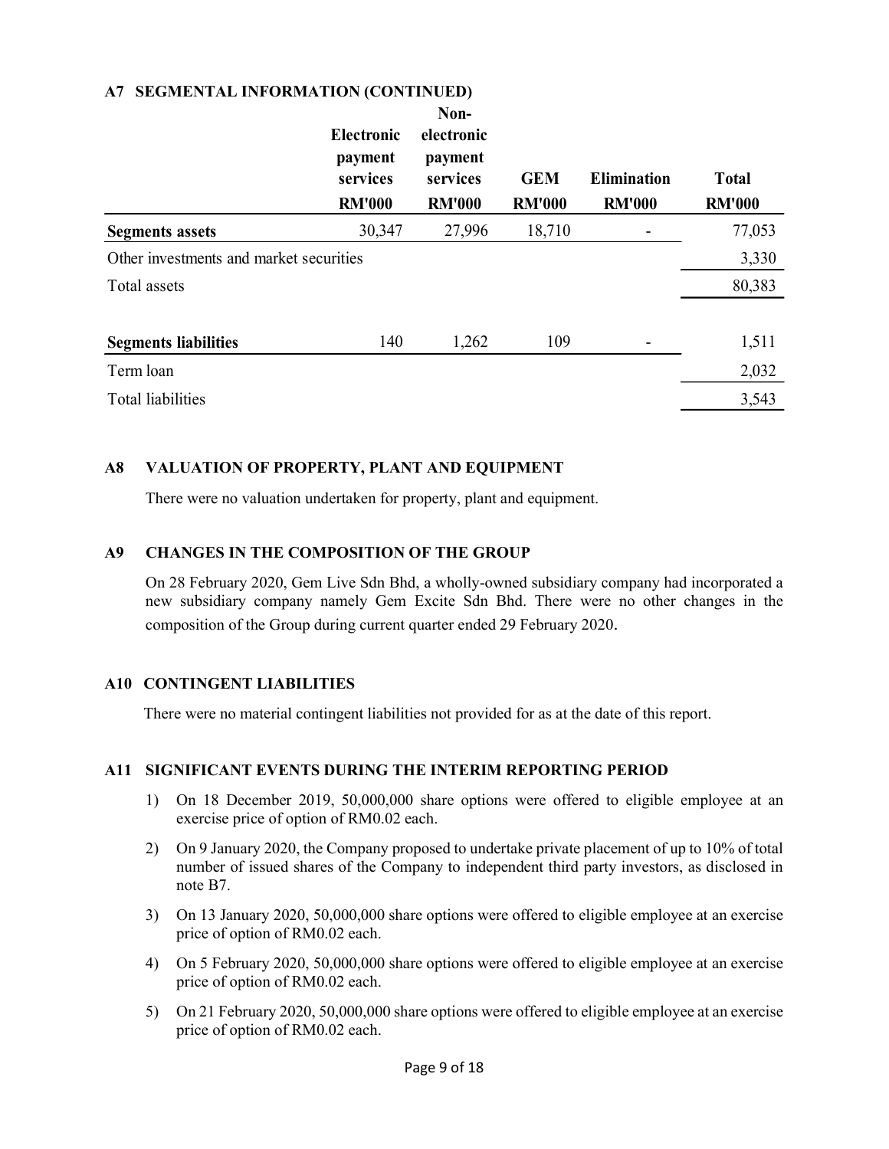### A7 SEGMENTAL INFORMATION (CONTINUED)

|                                         | <b>Electronic</b><br>payment<br>services<br><b>RM'000</b> | Non-<br>electronic<br>payment<br>services<br><b>RM'000</b> | <b>GEM</b><br><b>RM'000</b> | <b>Elimination</b><br><b>RM'000</b> | <b>Total</b><br><b>RM'000</b> |
|-----------------------------------------|-----------------------------------------------------------|------------------------------------------------------------|-----------------------------|-------------------------------------|-------------------------------|
| <b>Segments assets</b>                  | 30,347                                                    | 27,996                                                     | 18,710                      |                                     | 77,053                        |
| Other investments and market securities |                                                           |                                                            |                             |                                     | 3,330                         |
| Total assets                            |                                                           |                                                            |                             |                                     | 80,383                        |
| <b>Segments liabilities</b>             | 140                                                       | 1,262                                                      | 109                         |                                     | 1,511                         |
| Term loan                               |                                                           |                                                            |                             |                                     | 2,032                         |
| <b>Total liabilities</b>                |                                                           |                                                            |                             |                                     | 3,543                         |

### A8 VALUATION OF PROPERTY, PLANT AND EQUIPMENT

There were no valuation undertaken for property, plant and equipment.

### A9 CHANGES IN THE COMPOSITION OF THE GROUP

On 28 February 2020, Gem Live Sdn Bhd, a wholly-owned subsidiary company had incorporated a new subsidiary company namely Gem Excite Sdn Bhd. There were no other changes in the composition of the Group during current quarter ended 29 February 2020.

## A10 CONTINGENT LIABILITIES

There were no material contingent liabilities not provided for as at the date of this report.

### A11 SIGNIFICANT EVENTS DURING THE INTERIM REPORTING PERIOD

- 1) On 18 December 2019, 50,000,000 share options were offered to eligible employee at an exercise price of option of RM0.02 each.
- 2) On 9 January 2020, the Company proposed to undertake private placement of up to 10% of total number of issued shares of the Company to independent third party investors, as disclosed in note B7.
- 3) On 13 January 2020, 50,000,000 share options were offered to eligible employee at an exercise price of option of RM0.02 each.
- 4) On 5 February 2020, 50,000,000 share options were offered to eligible employee at an exercise price of option of RM0.02 each.
- 5) On 21 February 2020, 50,000,000 share options were offered to eligible employee at an exercise price of option of RM0.02 each.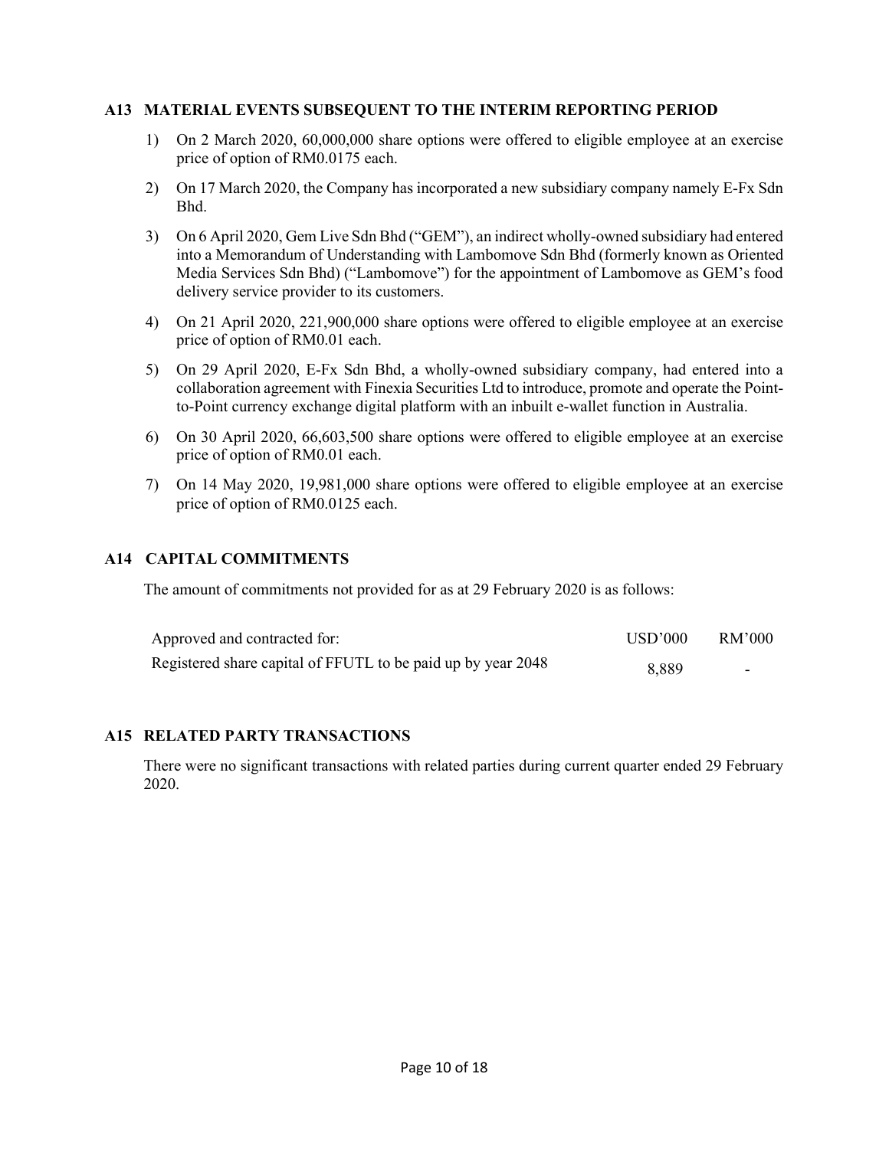#### A13 MATERIAL EVENTS SUBSEQUENT TO THE INTERIM REPORTING PERIOD

- 1) On 2 March 2020, 60,000,000 share options were offered to eligible employee at an exercise price of option of RM0.0175 each.
- 2) On 17 March 2020, the Company has incorporated a new subsidiary company namely E-Fx Sdn Bhd.
- 3) On 6 April 2020, Gem Live Sdn Bhd ("GEM"), an indirect wholly-owned subsidiary had entered into a Memorandum of Understanding with Lambomove Sdn Bhd (formerly known as Oriented Media Services Sdn Bhd) ("Lambomove") for the appointment of Lambomove as GEM's food delivery service provider to its customers.
- 4) On 21 April 2020, 221,900,000 share options were offered to eligible employee at an exercise price of option of RM0.01 each.
- 5) On 29 April 2020, E-Fx Sdn Bhd, a wholly-owned subsidiary company, had entered into a collaboration agreement with Finexia Securities Ltd to introduce, promote and operate the Pointto-Point currency exchange digital platform with an inbuilt e-wallet function in Australia.
- 6) On 30 April 2020, 66,603,500 share options were offered to eligible employee at an exercise price of option of RM0.01 each.
- 7) On 14 May 2020, 19,981,000 share options were offered to eligible employee at an exercise price of option of RM0.0125 each.

#### A14 CAPITAL COMMITMENTS

The amount of commitments not provided for as at 29 February 2020 is as follows:

| Approved and contracted for:                                 | USD'000 | RM'000 |
|--------------------------------------------------------------|---------|--------|
| Registered share capital of FFUTL to be paid up by year 2048 | 8.889   |        |

#### A15 RELATED PARTY TRANSACTIONS

 There were no significant transactions with related parties during current quarter ended 29 February 2020.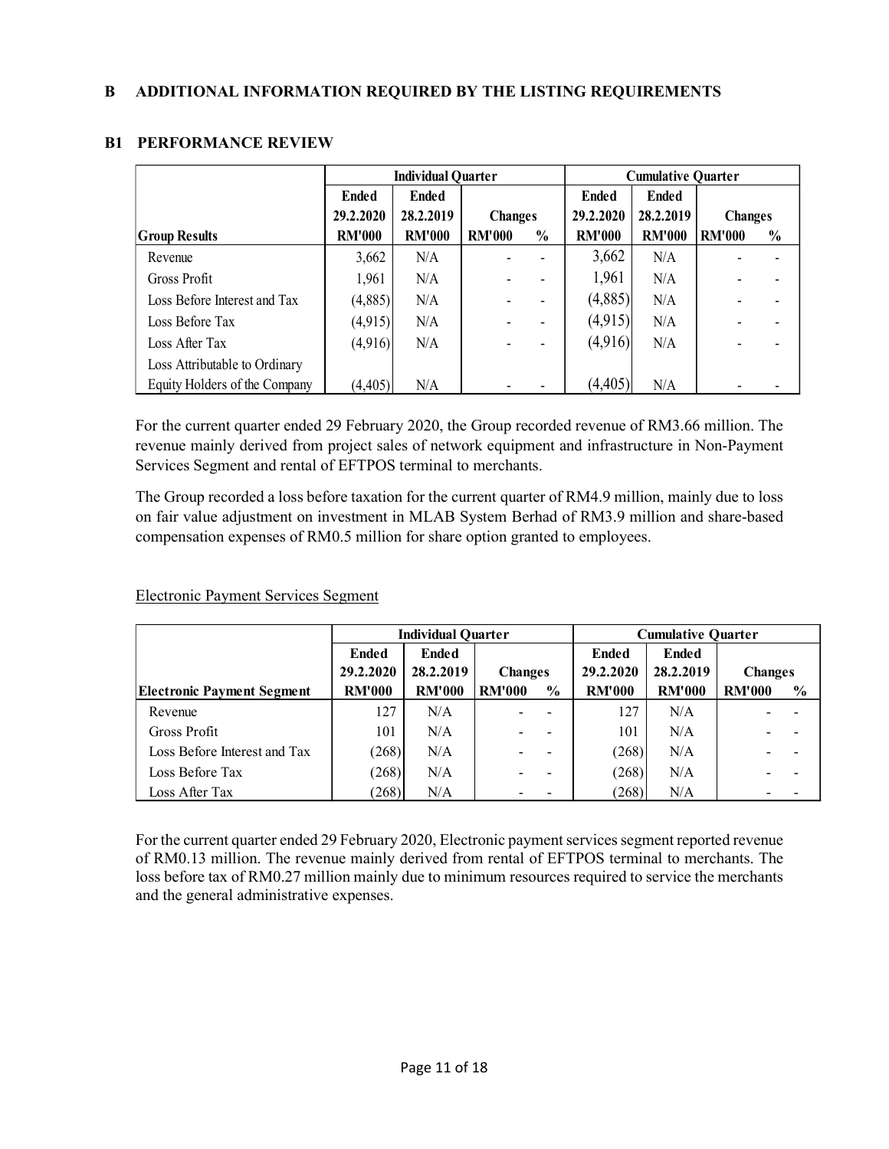|                               |               | <b>Individual Quarter</b> |                | <b>Cumulative Quarter</b> |               |               |                |               |
|-------------------------------|---------------|---------------------------|----------------|---------------------------|---------------|---------------|----------------|---------------|
|                               | <b>Ended</b>  | <b>Ended</b>              |                |                           | <b>Ended</b>  | <b>Ended</b>  |                |               |
|                               | 29.2.2020     | 28.2.2019                 | <b>Changes</b> |                           | 29.2.2020     | 28.2.2019     | <b>Changes</b> |               |
| <b>Group Results</b>          | <b>RM'000</b> | <b>RM'000</b>             | <b>RM'000</b>  | $\frac{0}{0}$             | <b>RM'000</b> | <b>RM'000</b> | <b>RM'000</b>  | $\frac{0}{0}$ |
| Revenue                       | 3,662         | N/A                       |                |                           | 3,662         | N/A           |                |               |
| Gross Profit                  | 1,961         | N/A                       |                |                           | 1,961         | N/A           |                |               |
| Loss Before Interest and Tax  | (4,885)       | N/A                       |                |                           | (4,885)       | N/A           |                |               |
| Loss Before Tax               | (4,915)       | N/A                       |                |                           | (4,915)       | N/A           |                |               |
| Loss After Tax                | (4,916)       | N/A                       |                |                           | (4,916)       | N/A           |                |               |
| Loss Attributable to Ordinary |               |                           |                |                           |               |               |                |               |
| Equity Holders of the Company | (4,405)       | N/A                       |                |                           | (4, 405)      | N/A           |                |               |

# B1 PERFORMANCE REVIEW

For the current quarter ended 29 February 2020, the Group recorded revenue of RM3.66 million. The revenue mainly derived from project sales of network equipment and infrastructure in Non-Payment Services Segment and rental of EFTPOS terminal to merchants.

The Group recorded a loss before taxation for the current quarter of RM4.9 million, mainly due to loss on fair value adjustment on investment in MLAB System Berhad of RM3.9 million and share-based compensation expenses of RM0.5 million for share option granted to employees.

| Electronic Payment Services Segment |  |  |
|-------------------------------------|--|--|
|                                     |  |  |

|                                   | <b>Individual Quarter</b> |               |                | <b>Cumulative Quarter</b> |               |               |                |                |
|-----------------------------------|---------------------------|---------------|----------------|---------------------------|---------------|---------------|----------------|----------------|
|                                   | <b>Ended</b>              | <b>Ended</b>  |                |                           | <b>Ended</b>  | <b>Ended</b>  |                |                |
|                                   | 29.2.2020                 | 28.2.2019     | <b>Changes</b> |                           | 29.2.2020     | 28.2.2019     | <b>Changes</b> |                |
| <b>Electronic Payment Segment</b> | <b>RM'000</b>             | <b>RM'000</b> | <b>RM'000</b>  | $\frac{6}{9}$             | <b>RM'000</b> | <b>RM'000</b> | <b>RM'000</b>  | $\frac{6}{10}$ |
| Revenue                           | 127                       | N/A           |                |                           | 127           | N/A           |                |                |
| Gross Profit                      | 101                       | N/A           |                |                           | 101           | N/A           |                |                |
| Loss Before Interest and Tax      | (268)                     | N/A           |                |                           | (268)         | N/A           |                |                |
| Loss Before Tax                   | (268)                     | N/A           |                |                           | (268)         | N/A           |                |                |
| Loss After Tax                    | (268)                     | N/A           |                |                           | (268)         | N/A           |                |                |

For the current quarter ended 29 February 2020, Electronic payment services segment reported revenue of RM0.13 million. The revenue mainly derived from rental of EFTPOS terminal to merchants. The loss before tax of RM0.27 million mainly due to minimum resources required to service the merchants and the general administrative expenses.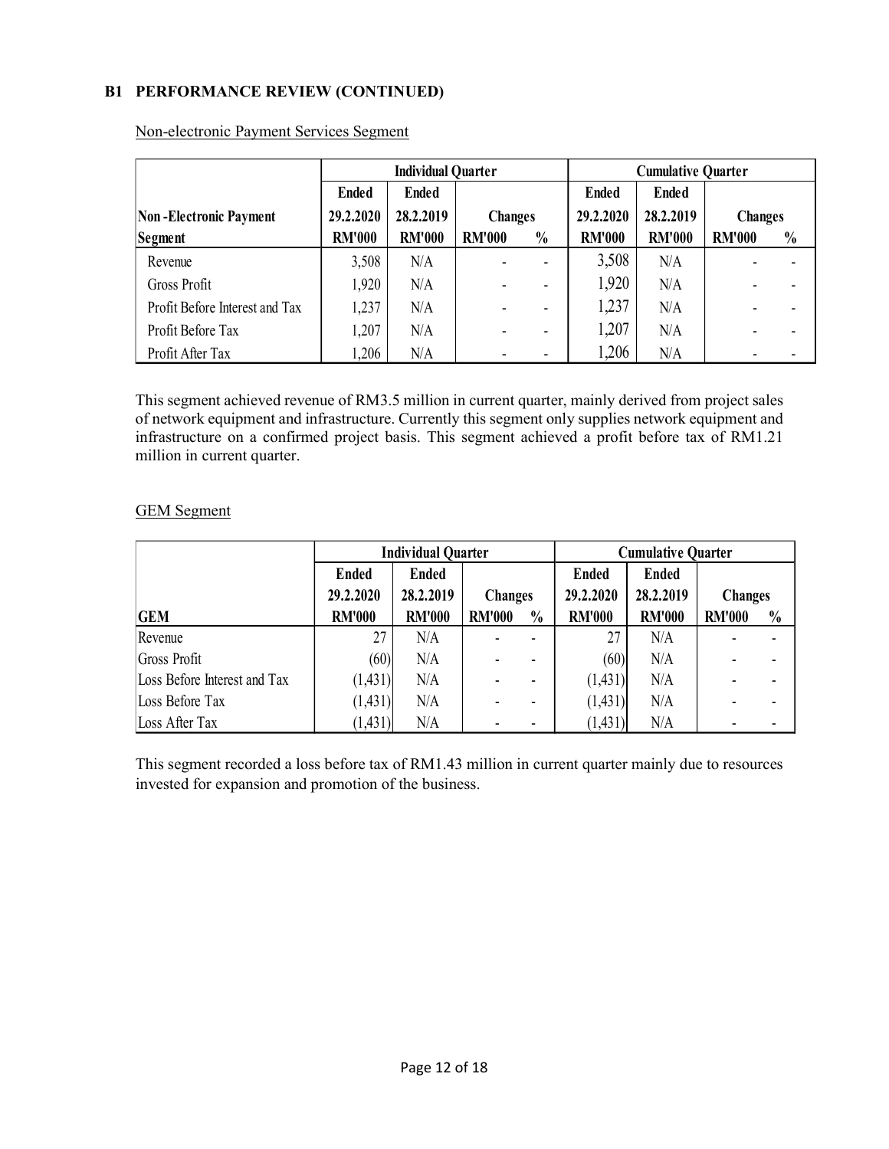## B1 PERFORMANCE REVIEW (CONTINUED)

|                                |               | <b>Individual Quarter</b> |                |                              | <b>Cumulative Quarter</b> |               |                |               |
|--------------------------------|---------------|---------------------------|----------------|------------------------------|---------------------------|---------------|----------------|---------------|
|                                | <b>Ended</b>  | <b>Ended</b>              |                |                              | <b>Ended</b>              | <b>Ended</b>  |                |               |
| Non-Electronic Payment         | 29.2.2020     | 28.2.2019                 | <b>Changes</b> |                              | 29.2.2020                 | 28.2.2019     | <b>Changes</b> |               |
| Segment                        | <b>RM'000</b> | <b>RM'000</b>             | <b>RM'000</b>  | $\frac{0}{0}$                | <b>RM'000</b>             | <b>RM'000</b> | <b>RM'000</b>  | $\frac{0}{0}$ |
| Revenue                        | 3,508         | N/A                       |                | $\blacksquare$               | 3,508                     | N/A           |                |               |
| Gross Profit                   | 1,920         | N/A                       |                | -                            | 1,920                     | N/A           |                |               |
| Profit Before Interest and Tax | 1,237         | N/A                       |                | $\blacksquare$               | 1,237                     | N/A           |                |               |
| Profit Before Tax              | 1,207         | N/A                       |                | $\qquad \qquad \blacksquare$ | 1,207                     | N/A           |                |               |
| Profit After Tax               | 1,206         | N/A                       |                | $\overline{\phantom{0}}$     | 1,206                     | N/A           |                |               |

Non-electronic Payment Services Segment

This segment achieved revenue of RM3.5 million in current quarter, mainly derived from project sales of network equipment and infrastructure. Currently this segment only supplies network equipment and infrastructure on a confirmed project basis. This segment achieved a profit before tax of RM1.21 million in current quarter.

|                              | <b>Individual Quarter</b> |               |                | <b>Cumulative Quarter</b> |               |               |                |               |
|------------------------------|---------------------------|---------------|----------------|---------------------------|---------------|---------------|----------------|---------------|
|                              | <b>Ended</b>              | <b>Ended</b>  |                |                           | <b>Ended</b>  | <b>Ended</b>  |                |               |
|                              | 29.2.2020                 | 28.2.2019     | <b>Changes</b> |                           | 29.2.2020     | 28.2.2019     | <b>Changes</b> |               |
| <b>GEM</b>                   | <b>RM'000</b>             | <b>RM'000</b> | <b>RM'000</b>  | $\frac{0}{0}$             | <b>RM'000</b> | <b>RM'000</b> | <b>RM'000</b>  | $\frac{0}{0}$ |
| Revenue                      | 27                        | N/A           |                |                           | 27            | N/A           |                |               |
| Gross Profit                 | (60)                      | N/A           |                |                           | (60)          | N/A           |                |               |
| Loss Before Interest and Tax | (1,431)                   | N/A           |                |                           | (1,431)       | N/A           |                |               |
| Loss Before Tax              | (1,431)                   | N/A           |                |                           | (1, 431)      | N/A           |                |               |
| Loss After Tax               | (1,431)                   | N/A           |                |                           | (1, 431)      | N/A           |                |               |

### GEM Segment

This segment recorded a loss before tax of RM1.43 million in current quarter mainly due to resources invested for expansion and promotion of the business.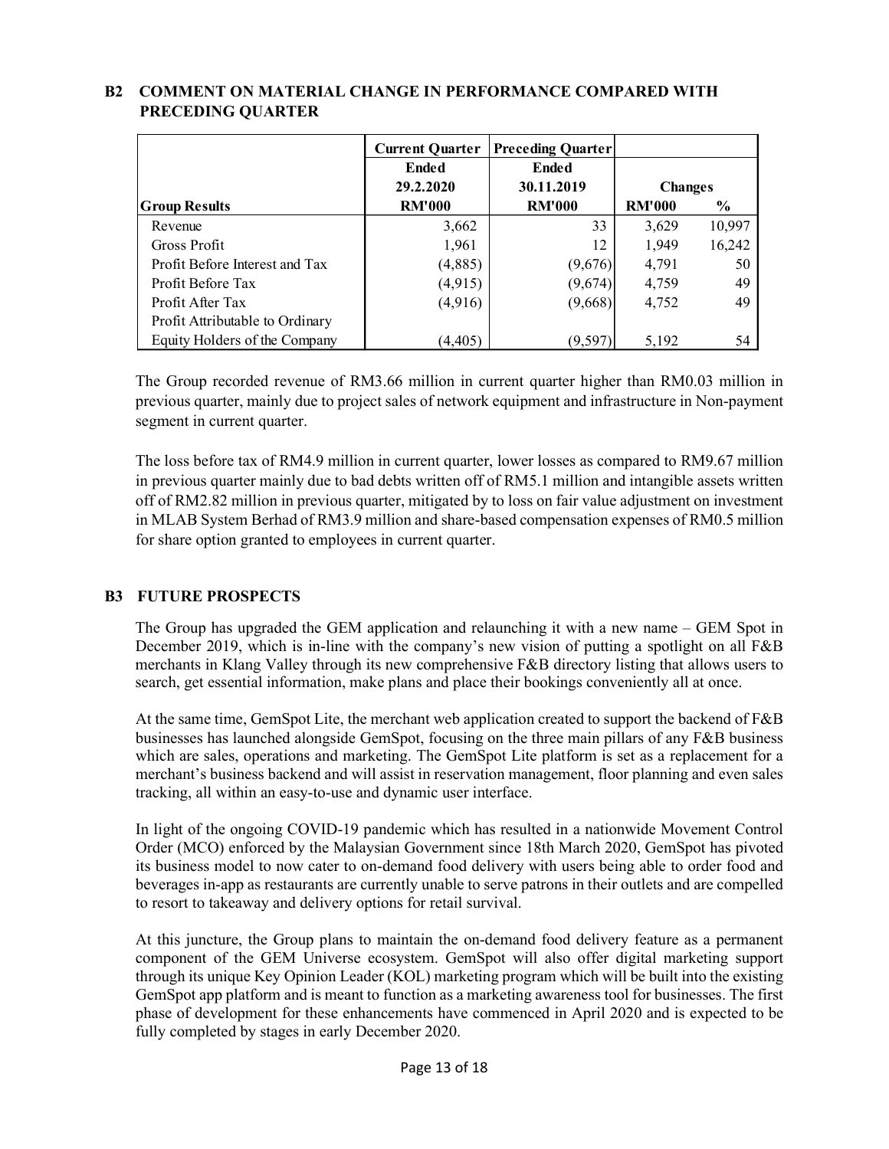|                                 | <b>Current Quarter</b> | <b>Preceding Quarter</b> |                |        |
|---------------------------------|------------------------|--------------------------|----------------|--------|
|                                 | <b>Ended</b>           | <b>Ended</b>             |                |        |
|                                 | 29.2.2020              | 30.11.2019               | <b>Changes</b> |        |
| <b>Group Results</b>            | <b>RM'000</b>          | <b>RM'000</b>            | <b>RM'000</b>  | $\%$   |
| Revenue                         | 3,662                  | 33                       | 3,629          | 10,997 |
| Gross Profit                    | 1,961                  | 12                       | 1,949          | 16,242 |
| Profit Before Interest and Tax  | (4,885)                | (9,676)                  | 4,791          | 50     |
| Profit Before Tax               | (4, 915)               | (9,674)                  | 4,759          | 49     |
| Profit After Tax                | (4,916)                | (9,668)                  | 4,752          | 49     |
| Profit Attributable to Ordinary |                        |                          |                |        |
| Equity Holders of the Company   | (4, 405)               | (9, 597)                 | 5.192          | 54     |

# B2 COMMENT ON MATERIAL CHANGE IN PERFORMANCE COMPARED WITH PRECEDING QUARTER

The Group recorded revenue of RM3.66 million in current quarter higher than RM0.03 million in previous quarter, mainly due to project sales of network equipment and infrastructure in Non-payment segment in current quarter.

The loss before tax of RM4.9 million in current quarter, lower losses as compared to RM9.67 million in previous quarter mainly due to bad debts written off of RM5.1 million and intangible assets written off of RM2.82 million in previous quarter, mitigated by to loss on fair value adjustment on investment in MLAB System Berhad of RM3.9 million and share-based compensation expenses of RM0.5 million for share option granted to employees in current quarter.

## B3 FUTURE PROSPECTS

The Group has upgraded the GEM application and relaunching it with a new name – GEM Spot in December 2019, which is in-line with the company's new vision of putting a spotlight on all F&B merchants in Klang Valley through its new comprehensive F&B directory listing that allows users to search, get essential information, make plans and place their bookings conveniently all at once.

At the same time, GemSpot Lite, the merchant web application created to support the backend of F&B businesses has launched alongside GemSpot, focusing on the three main pillars of any F&B business which are sales, operations and marketing. The GemSpot Lite platform is set as a replacement for a merchant's business backend and will assist in reservation management, floor planning and even sales tracking, all within an easy-to-use and dynamic user interface.

In light of the ongoing COVID-19 pandemic which has resulted in a nationwide Movement Control Order (MCO) enforced by the Malaysian Government since 18th March 2020, GemSpot has pivoted its business model to now cater to on-demand food delivery with users being able to order food and beverages in-app as restaurants are currently unable to serve patrons in their outlets and are compelled to resort to takeaway and delivery options for retail survival.

At this juncture, the Group plans to maintain the on-demand food delivery feature as a permanent component of the GEM Universe ecosystem. GemSpot will also offer digital marketing support through its unique Key Opinion Leader (KOL) marketing program which will be built into the existing GemSpot app platform and is meant to function as a marketing awareness tool for businesses. The first phase of development for these enhancements have commenced in April 2020 and is expected to be fully completed by stages in early December 2020.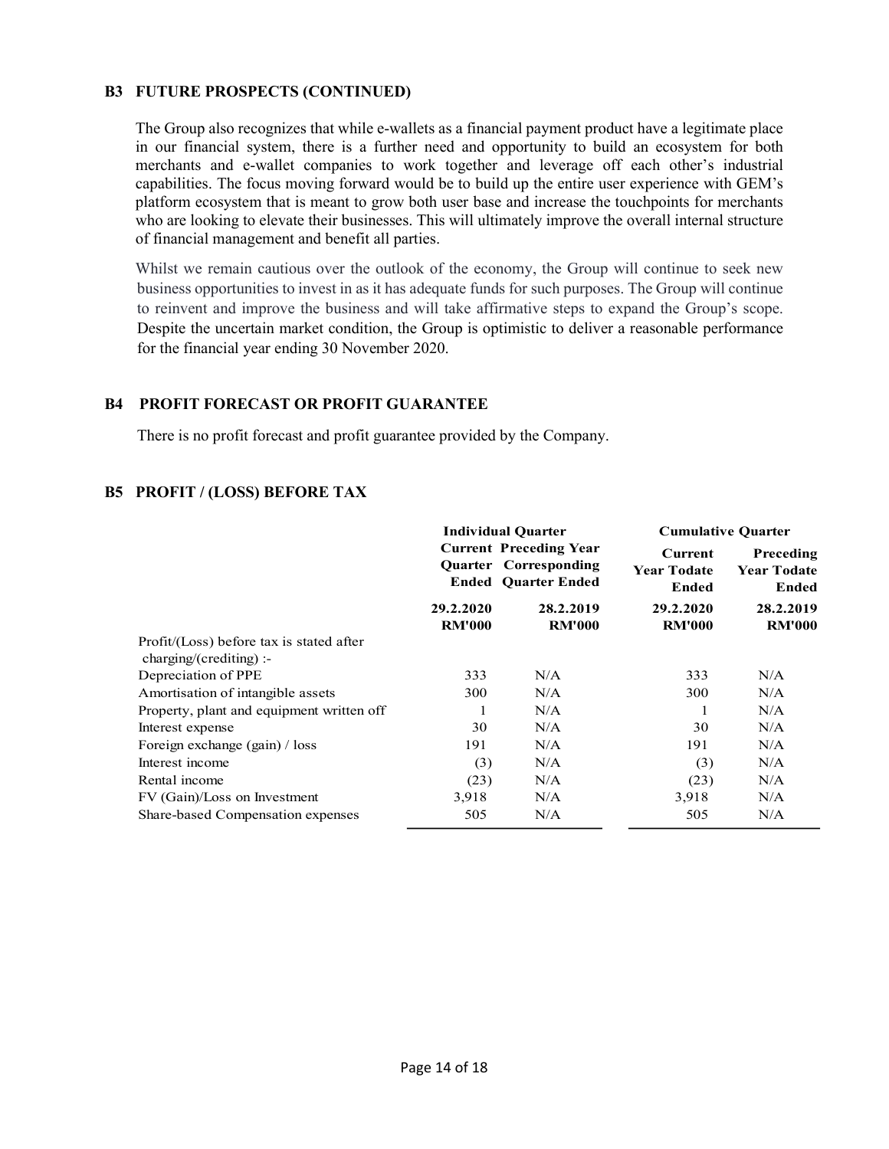### B3 FUTURE PROSPECTS (CONTINUED)

The Group also recognizes that while e-wallets as a financial payment product have a legitimate place in our financial system, there is a further need and opportunity to build an ecosystem for both merchants and e-wallet companies to work together and leverage off each other's industrial capabilities. The focus moving forward would be to build up the entire user experience with GEM's platform ecosystem that is meant to grow both user base and increase the touchpoints for merchants who are looking to elevate their businesses. This will ultimately improve the overall internal structure of financial management and benefit all parties.

Whilst we remain cautious over the outlook of the economy, the Group will continue to seek new business opportunities to invest in as it has adequate funds for such purposes. The Group will continue to reinvent and improve the business and will take affirmative steps to expand the Group's scope. Despite the uncertain market condition, the Group is optimistic to deliver a reasonable performance for the financial year ending 30 November 2020.

### B4 PROFIT FORECAST OR PROFIT GUARANTEE

There is no profit forecast and profit guarantee provided by the Company.

### B5 PROFIT / (LOSS) BEFORE TAX

|                                                                      |                            | <b>Individual Quarter</b>                                                            | <b>Cumulative Quarter</b>                     |                                          |  |
|----------------------------------------------------------------------|----------------------------|--------------------------------------------------------------------------------------|-----------------------------------------------|------------------------------------------|--|
|                                                                      |                            | <b>Current Preceding Year</b><br>Quarter Corresponding<br><b>Ended Ouarter Ended</b> | Current<br><b>Year Todate</b><br><b>Ended</b> | Preceding<br><b>Year Todate</b><br>Ended |  |
|                                                                      | 29.2.2020<br><b>RM'000</b> | 28.2.2019<br><b>RM'000</b>                                                           | 29.2.2020<br><b>RM'000</b>                    | 28.2.2019<br><b>RM'000</b>               |  |
| Profit/(Loss) before tax is stated after<br>$charging/(crediting)$ : |                            |                                                                                      |                                               |                                          |  |
| Depreciation of PPE                                                  | 333                        | N/A                                                                                  | 333                                           | N/A                                      |  |
| Amortisation of intangible assets                                    | 300                        | N/A                                                                                  | 300                                           | N/A                                      |  |
| Property, plant and equipment written off                            | 1                          | N/A                                                                                  |                                               | N/A                                      |  |
| Interest expense                                                     | 30                         | N/A                                                                                  | 30                                            | N/A                                      |  |
| Foreign exchange (gain) / loss                                       | 191                        | N/A                                                                                  | 191                                           | N/A                                      |  |
| Interest income                                                      | (3)                        | N/A                                                                                  | (3)                                           | N/A                                      |  |
| Rental income                                                        | (23)                       | N/A                                                                                  | (23)                                          | N/A                                      |  |
| FV (Gain)/Loss on Investment                                         | 3,918                      | N/A                                                                                  | 3,918                                         | N/A                                      |  |
| Share-based Compensation expenses                                    | 505                        | N/A                                                                                  | 505                                           | N/A                                      |  |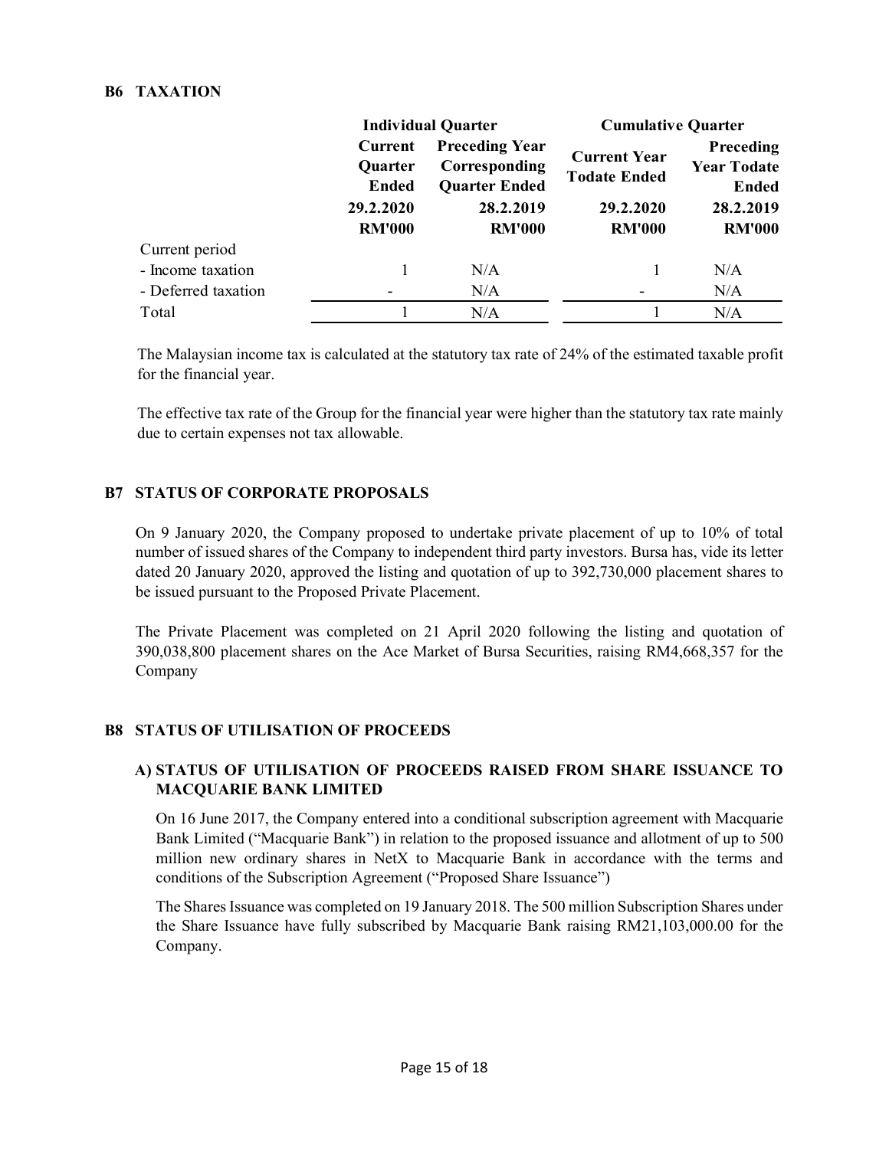### B6 TAXATION

|                     |                                                                  | <b>Individual Quarter</b>                                                                    | <b>Cumulative Quarter</b>                                                |                                                                               |  |
|---------------------|------------------------------------------------------------------|----------------------------------------------------------------------------------------------|--------------------------------------------------------------------------|-------------------------------------------------------------------------------|--|
|                     | Current<br>Quarter<br><b>Ended</b><br>29.2.2020<br><b>RM'000</b> | <b>Preceding Year</b><br>Corresponding<br><b>Quarter Ended</b><br>28.2.2019<br><b>RM'000</b> | <b>Current Year</b><br><b>Todate Ended</b><br>29.2.2020<br><b>RM'000</b> | <b>Preceding</b><br><b>Year Todate</b><br>Ended<br>28.2.2019<br><b>RM'000</b> |  |
| Current period      |                                                                  |                                                                                              |                                                                          |                                                                               |  |
| - Income taxation   |                                                                  | N/A                                                                                          |                                                                          | N/A                                                                           |  |
| - Deferred taxation |                                                                  | N/A                                                                                          |                                                                          | N/A                                                                           |  |
| Total               |                                                                  | N/A                                                                                          |                                                                          | N/A                                                                           |  |

 The Malaysian income tax is calculated at the statutory tax rate of 24% of the estimated taxable profit for the financial year.

 The effective tax rate of the Group for the financial year were higher than the statutory tax rate mainly due to certain expenses not tax allowable.

### B7 STATUS OF CORPORATE PROPOSALS

On 9 January 2020, the Company proposed to undertake private placement of up to 10% of total number of issued shares of the Company to independent third party investors. Bursa has, vide its letter dated 20 January 2020, approved the listing and quotation of up to 392,730,000 placement shares to be issued pursuant to the Proposed Private Placement.

The Private Placement was completed on 21 April 2020 following the listing and quotation of 390,038,800 placement shares on the Ace Market of Bursa Securities, raising RM4,668,357 for the Company

## B8 STATUS OF UTILISATION OF PROCEEDS

## A) STATUS OF UTILISATION OF PROCEEDS RAISED FROM SHARE ISSUANCE TO MACQUARIE BANK LIMITED

On 16 June 2017, the Company entered into a conditional subscription agreement with Macquarie Bank Limited ("Macquarie Bank") in relation to the proposed issuance and allotment of up to 500 million new ordinary shares in NetX to Macquarie Bank in accordance with the terms and conditions of the Subscription Agreement ("Proposed Share Issuance")

The Shares Issuance was completed on 19 January 2018. The 500 million Subscription Shares under the Share Issuance have fully subscribed by Macquarie Bank raising RM21,103,000.00 for the Company.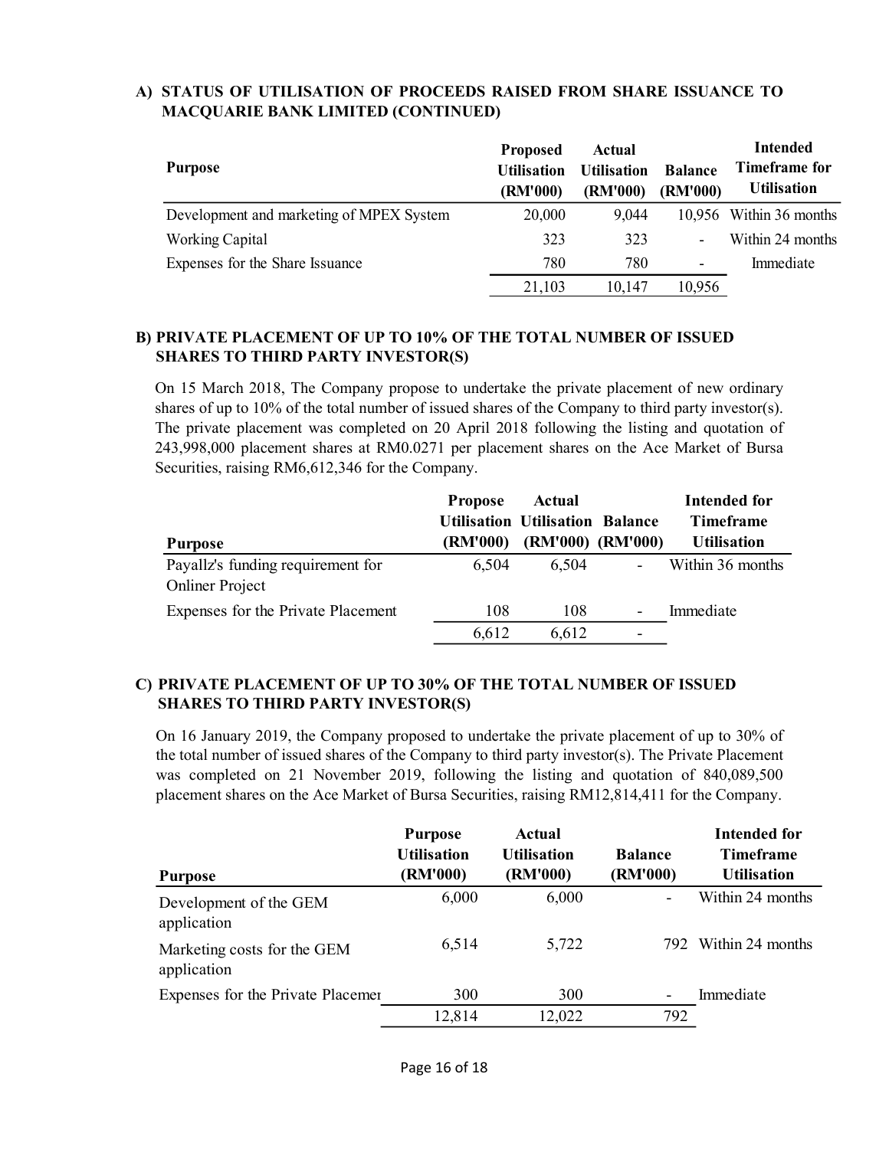| <b>Purpose</b>                           | <b>Proposed</b><br><b>Utilisation</b><br>(RM'000) | Actual<br><b>Utilisation</b><br>(RM'000) | <b>Balance</b><br>(RM'000) | <b>Intended</b><br>Timeframe for<br><b>Utilisation</b> |
|------------------------------------------|---------------------------------------------------|------------------------------------------|----------------------------|--------------------------------------------------------|
| Development and marketing of MPEX System | 20,000                                            | 9,044                                    |                            | 10,956 Within 36 months                                |
| Working Capital                          | 323                                               | 323                                      | $\blacksquare$             | Within 24 months                                       |
| Expenses for the Share Issuance          | 780                                               | 780                                      | -                          | Immediate                                              |
|                                          | 21,103                                            | 10,147                                   | 10,956                     |                                                        |

# A) STATUS OF UTILISATION OF PROCEEDS RAISED FROM SHARE ISSUANCE TO MACQUARIE BANK LIMITED (CONTINUED)

### B) PRIVATE PLACEMENT OF UP TO 10% OF THE TOTAL NUMBER OF ISSUED SHARES TO THIRD PARTY INVESTOR(S)

On 15 March 2018, The Company propose to undertake the private placement of new ordinary shares of up to 10% of the total number of issued shares of the Company to third party investor(s). The private placement was completed on 20 April 2018 following the listing and quotation of 243,998,000 placement shares at RM0.0271 per placement shares on the Ace Market of Bursa Securities, raising RM6,612,346 for the Company.

|                                    | <b>Propose</b> | Actual                                 |                              | Intended for       |
|------------------------------------|----------------|----------------------------------------|------------------------------|--------------------|
|                                    |                | <b>Utilisation Utilisation Balance</b> |                              | <b>Timeframe</b>   |
| <b>Purpose</b>                     | (RM'000)       | (RM'000) (RM'000)                      |                              | <b>Utilisation</b> |
| Payallz's funding requirement for  | 6.504          | 6,504                                  | $\qquad \qquad \blacksquare$ | Within 36 months   |
| <b>Onliner Project</b>             |                |                                        |                              |                    |
| Expenses for the Private Placement | 108            | 108                                    | $\overline{\phantom{0}}$     | Immediate          |
|                                    | 6,612          | 6,612                                  |                              |                    |

## C) PRIVATE PLACEMENT OF UP TO 30% OF THE TOTAL NUMBER OF ISSUED SHARES TO THIRD PARTY INVESTOR(S)

On 16 January 2019, the Company proposed to undertake the private placement of up to 30% of the total number of issued shares of the Company to third party investor(s). The Private Placement was completed on 21 November 2019, following the listing and quotation of 840,089,500 placement shares on the Ace Market of Bursa Securities, raising RM12,814,411 for the Company.

| <b>Purpose</b>                             | <b>Purpose</b><br><b>Utilisation</b><br>(RM'000) | Actual<br><b>Utilisation</b><br>(RM'000) | <b>Balance</b><br>(RM'000) | <b>Intended for</b><br><b>Timeframe</b><br><b>Utilisation</b> |
|--------------------------------------------|--------------------------------------------------|------------------------------------------|----------------------------|---------------------------------------------------------------|
| Development of the GEM<br>application      | 6,000                                            | 6,000                                    |                            | Within 24 months                                              |
| Marketing costs for the GEM<br>application | 6,514                                            | 5,722                                    |                            | 792 Within 24 months                                          |
| Expenses for the Private Placemer          | 300                                              | 300                                      |                            | Immediate                                                     |
|                                            | 12,814                                           | 12,022                                   | 792                        |                                                               |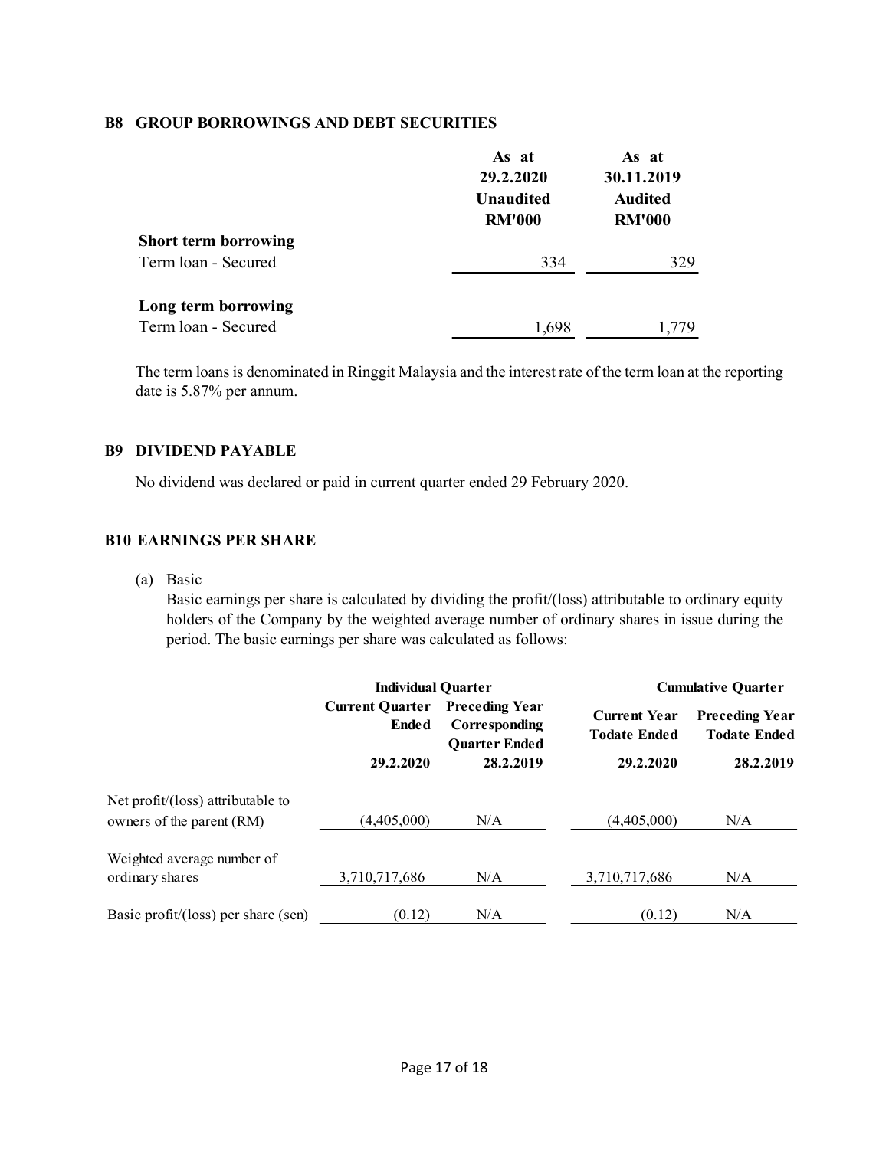#### B8 GROUP BORROWINGS AND DEBT SECURITIES

|                             | As at<br>29.2.2020<br><b>Unaudited</b><br><b>RM'000</b> | As at<br>30.11.2019<br><b>Audited</b><br><b>RM'000</b> |
|-----------------------------|---------------------------------------------------------|--------------------------------------------------------|
| <b>Short term borrowing</b> |                                                         |                                                        |
| Term loan - Secured         | 334                                                     | 329                                                    |
| Long term borrowing         |                                                         |                                                        |
| Term loan - Secured         | 1.698                                                   | 1.779                                                  |

The term loans is denominated in Ringgit Malaysia and the interest rate of the term loan at the reporting date is 5.87% per annum.

### B9 DIVIDEND PAYABLE

No dividend was declared or paid in current quarter ended 29 February 2020.

### B10 EARNINGS PER SHARE

(a) Basic

Basic earnings per share is calculated by dividing the profit/(loss) attributable to ordinary equity holders of the Company by the weighted average number of ordinary shares in issue during the period. The basic earnings per share was calculated as follows:

|                                     | <b>Individual Quarter</b>       |                                                                | <b>Cumulative Quarter</b>                  |                                              |  |
|-------------------------------------|---------------------------------|----------------------------------------------------------------|--------------------------------------------|----------------------------------------------|--|
|                                     | <b>Current Quarter</b><br>Ended | <b>Preceding Year</b><br>Corresponding<br><b>Quarter Ended</b> | <b>Current Year</b><br><b>Todate Ended</b> | <b>Preceding Year</b><br><b>Todate Ended</b> |  |
|                                     | 29.2.2020                       | 28.2.2019                                                      | 29.2.2020                                  | 28.2.2019                                    |  |
| Net profit/(loss) attributable to   |                                 |                                                                |                                            |                                              |  |
| owners of the parent (RM)           | (4,405,000)                     | N/A                                                            | (4,405,000)                                | N/A                                          |  |
| Weighted average number of          |                                 |                                                                |                                            |                                              |  |
| ordinary shares                     | 3.710.717.686                   | N/A                                                            | 3,710,717,686                              | N/A                                          |  |
| Basic profit/(loss) per share (sen) | (0.12)                          | N/A                                                            | (0.12)                                     | N/A                                          |  |